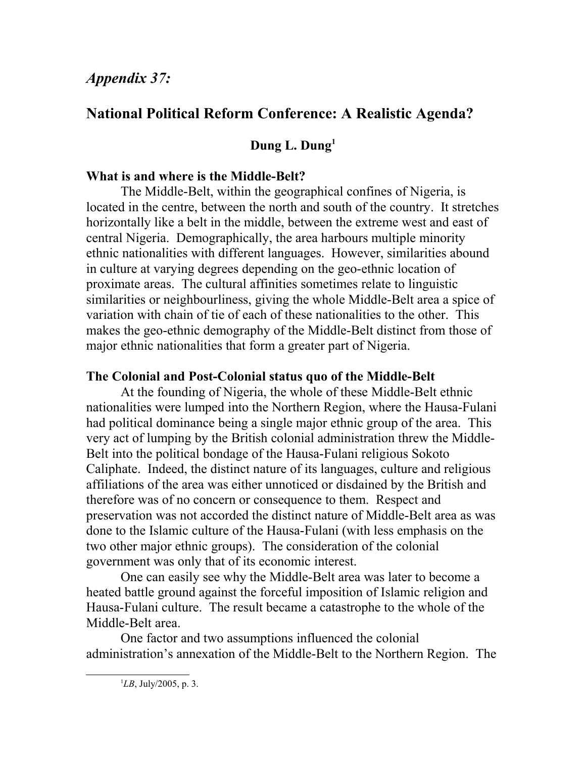*Appendix 37:*

# **National Political Reform Conference: A Realistic Agenda?**

## **Dung L. Dung[1](#page-0-0)**

### **What is and where is the Middle-Belt?**

The Middle-Belt, within the geographical confines of Nigeria, is located in the centre, between the north and south of the country. It stretches horizontally like a belt in the middle, between the extreme west and east of central Nigeria. Demographically, the area harbours multiple minority ethnic nationalities with different languages. However, similarities abound in culture at varying degrees depending on the geo-ethnic location of proximate areas. The cultural affinities sometimes relate to linguistic similarities or neighbourliness, giving the whole Middle-Belt area a spice of variation with chain of tie of each of these nationalities to the other. This makes the geo-ethnic demography of the Middle-Belt distinct from those of major ethnic nationalities that form a greater part of Nigeria.

### **The Colonial and Post-Colonial status quo of the Middle-Belt**

At the founding of Nigeria, the whole of these Middle-Belt ethnic nationalities were lumped into the Northern Region, where the Hausa-Fulani had political dominance being a single major ethnic group of the area. This very act of lumping by the British colonial administration threw the Middle-Belt into the political bondage of the Hausa-Fulani religious Sokoto Caliphate. Indeed, the distinct nature of its languages, culture and religious affiliations of the area was either unnoticed or disdained by the British and therefore was of no concern or consequence to them. Respect and preservation was not accorded the distinct nature of Middle-Belt area as was done to the Islamic culture of the Hausa-Fulani (with less emphasis on the two other major ethnic groups). The consideration of the colonial government was only that of its economic interest.

One can easily see why the Middle-Belt area was later to become a heated battle ground against the forceful imposition of Islamic religion and Hausa-Fulani culture. The result became a catastrophe to the whole of the Middle-Belt area.

One factor and two assumptions influenced the colonial administration's annexation of the Middle-Belt to the Northern Region. The

<span id="page-0-0"></span>1*LB*, July/2005, p. 3.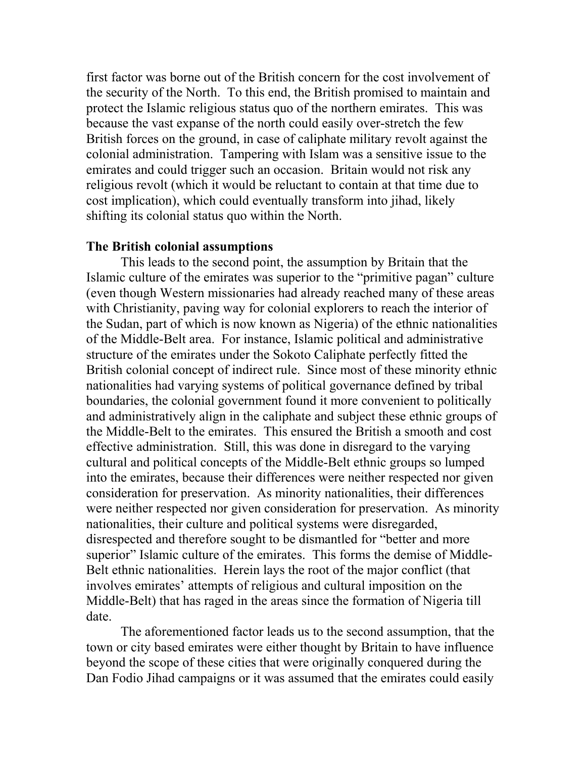first factor was borne out of the British concern for the cost involvement of the security of the North. To this end, the British promised to maintain and protect the Islamic religious status quo of the northern emirates. This was because the vast expanse of the north could easily over-stretch the few British forces on the ground, in case of caliphate military revolt against the colonial administration. Tampering with Islam was a sensitive issue to the emirates and could trigger such an occasion. Britain would not risk any religious revolt (which it would be reluctant to contain at that time due to cost implication), which could eventually transform into jihad, likely shifting its colonial status quo within the North.

#### **The British colonial assumptions**

This leads to the second point, the assumption by Britain that the Islamic culture of the emirates was superior to the "primitive pagan" culture (even though Western missionaries had already reached many of these areas with Christianity, paving way for colonial explorers to reach the interior of the Sudan, part of which is now known as Nigeria) of the ethnic nationalities of the Middle-Belt area. For instance, Islamic political and administrative structure of the emirates under the Sokoto Caliphate perfectly fitted the British colonial concept of indirect rule. Since most of these minority ethnic nationalities had varying systems of political governance defined by tribal boundaries, the colonial government found it more convenient to politically and administratively align in the caliphate and subject these ethnic groups of the Middle-Belt to the emirates. This ensured the British a smooth and cost effective administration. Still, this was done in disregard to the varying cultural and political concepts of the Middle-Belt ethnic groups so lumped into the emirates, because their differences were neither respected nor given consideration for preservation. As minority nationalities, their differences were neither respected nor given consideration for preservation. As minority nationalities, their culture and political systems were disregarded, disrespected and therefore sought to be dismantled for "better and more superior" Islamic culture of the emirates. This forms the demise of Middle-Belt ethnic nationalities. Herein lays the root of the major conflict (that involves emirates' attempts of religious and cultural imposition on the Middle-Belt) that has raged in the areas since the formation of Nigeria till date.

The aforementioned factor leads us to the second assumption, that the town or city based emirates were either thought by Britain to have influence beyond the scope of these cities that were originally conquered during the Dan Fodio Jihad campaigns or it was assumed that the emirates could easily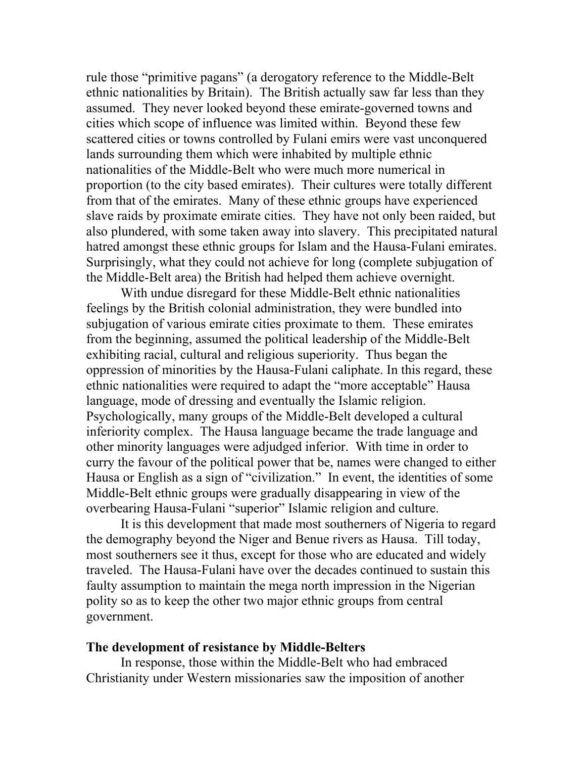rule those "primitive pagans" (a derogatory reference to the Middle-Belt ethnic nationalities by Britain). The British actually saw far less than they assumed. They never looked beyond these emirate-governed towns and cities which scope of influence was limited within. Beyond these few scattered cities or towns controlled by Fulani emirs were vast unconquered lands surrounding them which were inhabited by multiple ethnic nationalities of the Middle-Belt who were much more numerical in proportion (to the city based emirates). Their cultures were totally different from that of the emirates. Many of these ethnic groups have experienced slave raids by proximate emirate cities. They have not only been raided, but also plundered, with some taken away into slavery. This precipitated natural hatred amongst these ethnic groups for Islam and the Hausa-Fulani emirates. Surprisingly, what they could not achieve for long (complete subjugation of the Middle-Belt area) the British had helped them achieve overnight.

With undue disregard for these Middle-Belt ethnic nationalities feelings by the British colonial administration, they were bundled into subjugation of various emirate cities proximate to them. These emirates from the beginning, assumed the political leadership of the Middle-Belt exhibiting racial, cultural and religious superiority. Thus began the oppression of minorities by the Hausa-Fulani caliphate. In this regard, these ethnic nationalities were required to adapt the "more acceptable" Hausa language, mode of dressing and eventually the Islamic religion. Psychologically, many groups of the Middle-Belt developed a cultural inferiority complex. The Hausa language became the trade language and other minority languages were adjudged inferior. With time in order to curry the favour of the political power that be, names were changed to either Hausa or English as a sign of "civilization." In event, the identities of some Middle-Belt ethnic groups were gradually disappearing in view of the overbearing Hausa-Fulani "superior" Islamic religion and culture.

It is this development that made most southerners of Nigeria to regard the demography beyond the Niger and Benue rivers as Hausa. Till today, most southerners see it thus, except for those who are educated and widely traveled. The Hausa-Fulani have over the decades continued to sustain this faulty assumption to maintain the mega north impression in the Nigerian polity so as to keep the other two major ethnic groups from central government.

#### **The development of resistance by Middle-Belters**

In response, those within the Middle-Belt who had embraced Christianity under Western missionaries saw the imposition of another